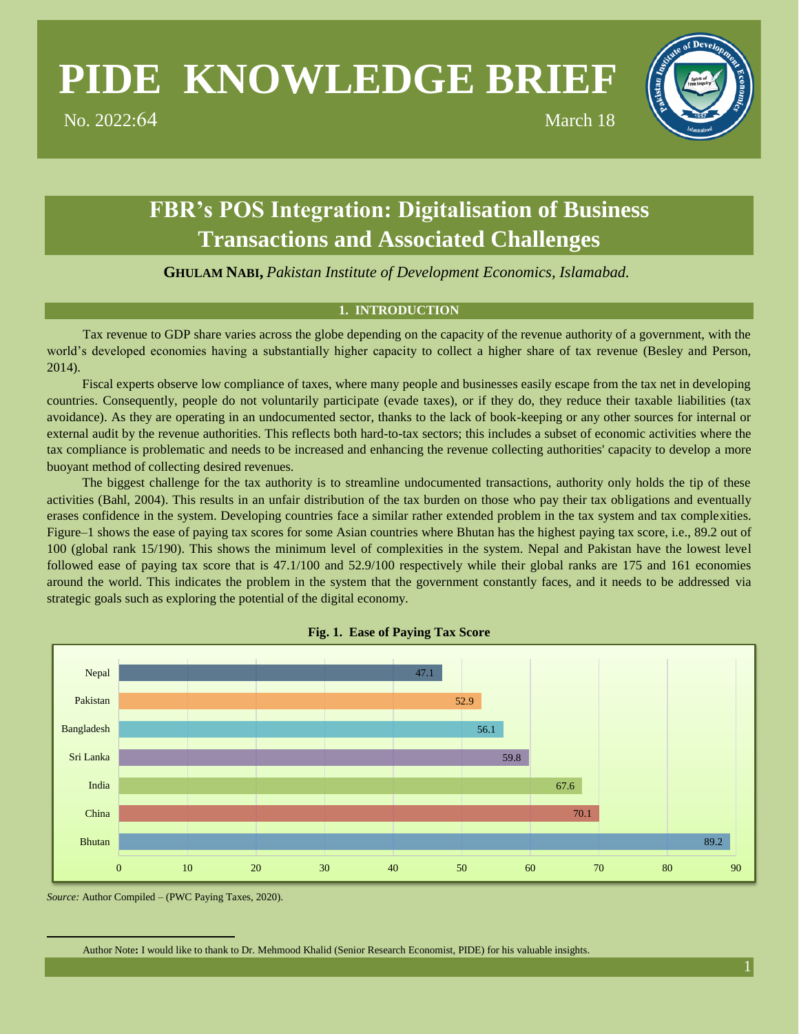# **PIDE KNOWLEDGE BRIEF**

No. 2022:64 March 18

**FBR's POS Integration: Digitalisation of Business Transactions and Associated Challenges**

**GHULAM NABI,** *Pakistan Institute of Development Economics, Islamabad.\**

# **1. INTRODUCTION**

Tax revenue to GDP share varies across the globe depending on the capacity of the revenue authority of a government, with the world's developed economies having a substantially higher capacity to collect a higher share of tax revenue (Besley and Person, 2014).

Fiscal experts observe low compliance of taxes, where many people and businesses easily escape from the tax net in developing countries. Consequently, people do not voluntarily participate (evade taxes), or if they do, they reduce their taxable liabilities (tax avoidance). As they are operating in an undocumented sector, thanks to the lack of book-keeping or any other sources for internal or external audit by the revenue authorities. This reflects both hard-to-tax sectors; this includes a subset of economic activities where the tax compliance is problematic and needs to be increased and enhancing the revenue collecting authorities' capacity to develop a more buoyant method of collecting desired revenues.

The biggest challenge for the tax authority is to streamline undocumented transactions, authority only holds the tip of these activities (Bahl, 2004). This results in an unfair distribution of the tax burden on those who pay their tax obligations and eventually erases confidence in the system. Developing countries face a similar rather extended problem in the tax system and tax complexities. Figure–1 shows the ease of paying tax scores for some Asian countries where Bhutan has the highest paying tax score, i.e., 89.2 out of 100 (global rank 15/190). This shows the minimum level of complexities in the system. Nepal and Pakistan have the lowest level followed ease of paying tax score that is 47.1/100 and 52.9/100 respectively while their global ranks are 175 and 161 economies around the world. This indicates the problem in the system that the government constantly faces, and it needs to be addressed via strategic goals such as exploring the potential of the digital economy.





*Source:* Author Compiled – (PWC Paying Taxes, 2020).

Author Note**:** I would like to thank to Dr. Mehmood Khalid (Senior Research Economist, PIDE) for his valuable insights.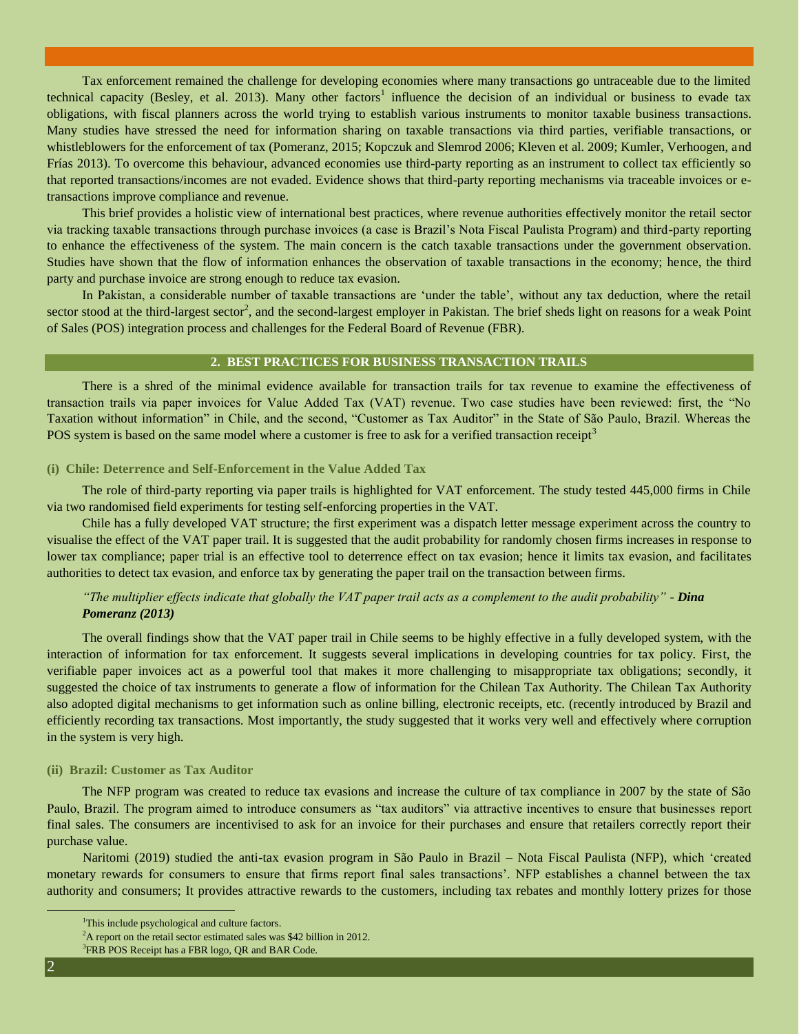Tax enforcement remained the challenge for developing economies where many transactions go untraceable due to the limited technical capacity (Besley, et al. 2013). Many other factors<sup>1</sup> influence the decision of an individual or business to evade tax obligations, with fiscal planners across the world trying to establish various instruments to monitor taxable business transactions. Many studies have stressed the need for information sharing on taxable transactions via third parties, verifiable transactions, or whistleblowers for the enforcement of tax (Pomeranz, 2015; Kopczuk and Slemrod 2006; Kleven et al. 2009; Kumler, Verhoogen, and Frías 2013). To overcome this behaviour, advanced economies use third-party reporting as an instrument to collect tax efficiently so that reported transactions/incomes are not evaded. Evidence shows that third-party reporting mechanisms via traceable invoices or etransactions improve compliance and revenue.

This brief provides a holistic view of international best practices, where revenue authorities effectively monitor the retail sector via tracking taxable transactions through purchase invoices (a case is Brazil's Nota Fiscal Paulista Program) and third-party reporting to enhance the effectiveness of the system. The main concern is the catch taxable transactions under the government observation. Studies have shown that the flow of information enhances the observation of taxable transactions in the economy; hence, the third party and purchase invoice are strong enough to reduce tax evasion.

In Pakistan, a considerable number of taxable transactions are 'under the table', without any tax deduction, where the retail sector stood at the third-largest sector<sup>2</sup>, and the second-largest employer in Pakistan. The brief sheds light on reasons for a weak Point of Sales (POS) integration process and challenges for the Federal Board of Revenue (FBR).

#### **2. BEST PRACTICES FOR BUSINESS TRANSACTION TRAILS**

There is a shred of the minimal evidence available for transaction trails for tax revenue to examine the effectiveness of transaction trails via paper invoices for Value Added Tax (VAT) revenue. Two case studies have been reviewed: first, the "No Taxation without information" in Chile, and the second, "Customer as Tax Auditor" in the State of São Paulo, Brazil. Whereas the POS system is based on the same model where a customer is free to ask for a verified transaction receipt<sup>3</sup>

#### **(i) Chile: Deterrence and Self-Enforcement in the Value Added Tax**

The role of third-party reporting via paper trails is highlighted for VAT enforcement. The study tested 445,000 firms in Chile via two randomised field experiments for testing self-enforcing properties in the VAT.

Chile has a fully developed VAT structure; the first experiment was a dispatch letter message experiment across the country to visualise the effect of the VAT paper trail. It is suggested that the audit probability for randomly chosen firms increases in response to lower tax compliance; paper trial is an effective tool to deterrence effect on tax evasion; hence it limits tax evasion, and facilitates authorities to detect tax evasion, and enforce tax by generating the paper trail on the transaction between firms.

# *"The multiplier effects indicate that globally the VAT paper trail acts as a complement to the audit probability" - Dina Pomeranz (2013)*

The overall findings show that the VAT paper trail in Chile seems to be highly effective in a fully developed system, with the interaction of information for tax enforcement. It suggests several implications in developing countries for tax policy. First, the verifiable paper invoices act as a powerful tool that makes it more challenging to misappropriate tax obligations; secondly, it suggested the choice of tax instruments to generate a flow of information for the Chilean Tax Authority. The Chilean Tax Authority also adopted digital mechanisms to get information such as online billing, electronic receipts, etc. (recently introduced by Brazil and efficiently recording tax transactions. Most importantly, the study suggested that it works very well and effectively where corruption in the system is very high.

#### **(ii) Brazil: Customer as Tax Auditor**

The NFP program was created to reduce tax evasions and increase the culture of tax compliance in 2007 by the state of São Paulo, Brazil. The program aimed to introduce consumers as "tax auditors" via attractive incentives to ensure that businesses report final sales. The consumers are incentivised to ask for an invoice for their purchases and ensure that retailers correctly report their purchase value.

Naritomi (2019) studied the anti-tax evasion program in São Paulo in Brazil – Nota Fiscal Paulista (NFP), which 'created monetary rewards for consumers to ensure that firms report final sales transactions'. NFP establishes a channel between the tax authority and consumers; It provides attractive rewards to the customers, including tax rebates and monthly lottery prizes for those

<sup>&</sup>lt;sup>1</sup>This include psychological and culture factors.

 $2^2$ A report on the retail sector estimated sales was \$42 billion in 2012.

<sup>&</sup>lt;sup>3</sup>FRB POS Receipt has a FBR logo, QR and BAR Code.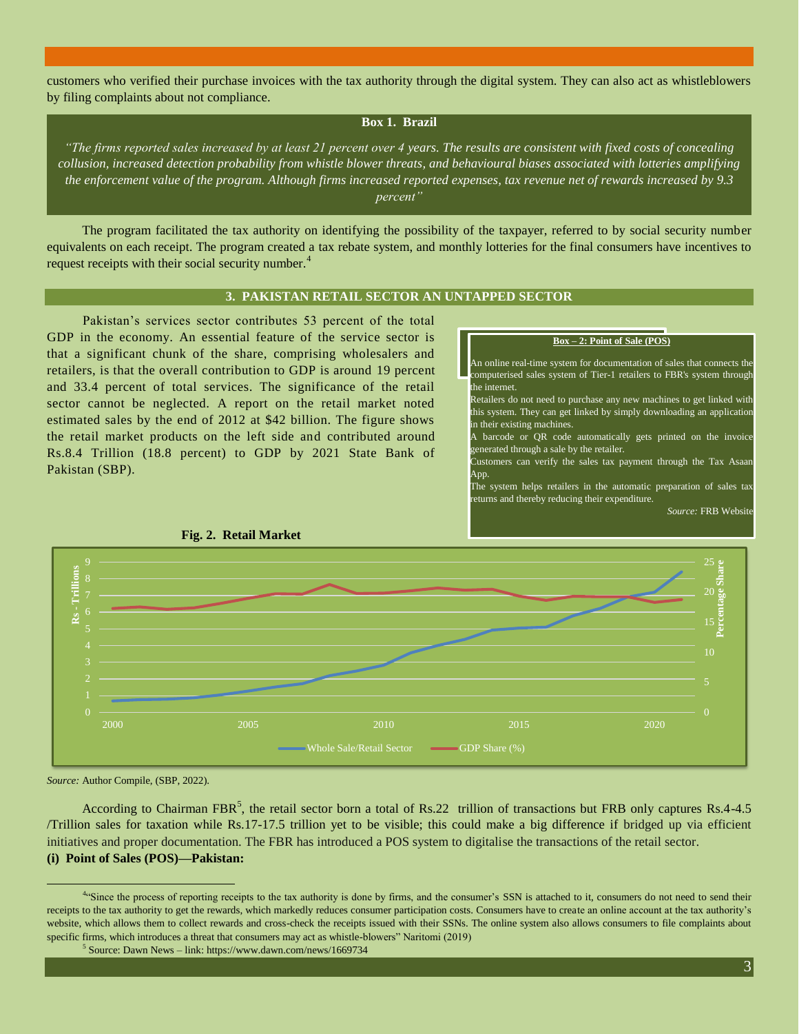customers who verified their purchase invoices with the tax authority through the digital system. They can also act as whistleblowers by filing complaints about not compliance.

## **Box 1. Brazil**

*"The firms reported sales increased by at least 21 percent over 4 years. The results are consistent with fixed costs of concealing collusion, increased detection probability from whistle blower threats, and behavioural biases associated with lotteries amplifying the enforcement value of the program. Although firms increased reported expenses, tax revenue net of rewards increased by 9.3 percent"*

The program facilitated the tax authority on identifying the possibility of the taxpayer, referred to by social security number equivalents on each receipt. The program created a tax rebate system, and monthly lotteries for the final consumers have incentives to request receipts with their social security number.<sup>4</sup>

### **3. PAKISTAN RETAIL SECTOR AN UNTAPPED SECTOR**

Pakistan's services sector contributes 53 percent of the total GDP in the economy. An essential feature of the service sector is that a significant chunk of the share, comprising wholesalers and retailers, is that the overall contribution to GDP is around 19 percent and 33.4 percent of total services. The significance of the retail sector cannot be neglected. A report on the retail market noted estimated sales by the end of 2012 at \$42 billion. The figure shows the retail market products on the left side and contributed around Rs.8.4 Trillion (18.8 percent) to GDP by 2021 State Bank of Pakistan (SBP).



- An online real-time system for documentation of sales that connects the computerised sales system of Tier-1 retailers to FBR's system through the internet.
- Retailers do not need to purchase any new machines to get linked with this system. They can get linked by simply downloading an application in their existing machines.
- A barcode or QR code automatically gets printed on the invoice generated through a sale by the retailer.
- Customers can verify the sales tax payment through the Tax Asaan App.
- The system helps retailers in the automatic preparation of sales tax returns and thereby reducing their expenditure.

*Source:* FRB Website



**Fig. 2. Retail Market**

*Source:* Author Compile, (SBP, 2022).

 $\overline{a}$ 

According to Chairman FBR<sup>5</sup>, the retail sector born a total of Rs.22 trillion of transactions but FRB only captures Rs.4-4.5 /Trillion sales for taxation while Rs.17-17.5 trillion yet to be visible; this could make a big difference if bridged up via efficient initiatives and proper documentation. The FBR has introduced a POS system to digitalise the transactions of the retail sector. **(i) Point of Sales (POS)—Pakistan:** 

<sup>&</sup>lt;sup>4.4</sup>Since the process of reporting receipts to the tax authority is done by firms, and the consumer's SSN is attached to it, consumers do not need to send their receipts to the tax authority to get the rewards, which markedly reduces consumer participation costs. Consumers have to create an online account at the tax authority's website, which allows them to collect rewards and cross-check the receipts issued with their SSNs. The online system also allows consumers to file complaints about specific firms, which introduces a threat that consumers may act as whistle-blowers" Naritomi (2019)

<sup>&</sup>lt;sup>5</sup> Source: Dawn News – link: https://www.dawn.com/news/1669734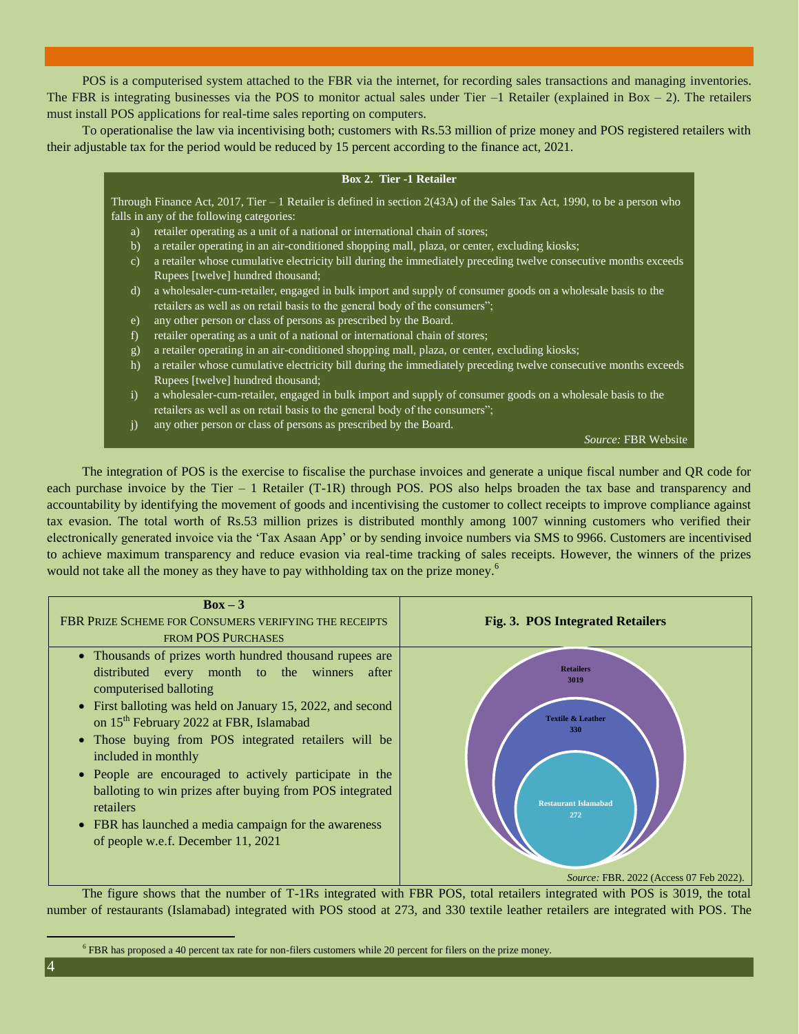POS is a computerised system attached to the FBR via the internet, for recording sales transactions and managing inventories. The FBR is integrating businesses via the POS to monitor actual sales under Tier  $-1$  Retailer (explained in Box  $-2$ ). The retailers must install POS applications for real-time sales reporting on computers.

To operationalise the law via incentivising both; customers with Rs.53 million of prize money and POS registered retailers with their adjustable tax for the period would be reduced by 15 percent according to the finance act, 2021.

#### **Box 2. Tier -1 Retailer**

Through Finance Act, 2017, Tier – 1 Retailer is defined in section 2(43A) of the [Sales Tax Act, 1990,](https://www.fbr.gov.pk/categ/sales-tax-act/301) to be a person who falls in any of the following categories:

- a) retailer operating as a unit of a national or international chain of stores;
- b) a retailer operating in an air-conditioned shopping mall, plaza, or center, excluding kiosks;
- c) a retailer whose cumulative electricity bill during the immediately preceding twelve consecutive months exceeds Rupees [twelve] hundred thousand;
- d) a wholesaler-cum-retailer, engaged in bulk import and supply of consumer goods on a wholesale basis to the retailers as well as on retail basis to the general body of the consumers";
- e) any other person or class of persons as prescribed by the Board.
- f) retailer operating as a unit of a national or international chain of stores;
- g) a retailer operating in an air-conditioned shopping mall, plaza, or center, excluding kiosks;
- h) a retailer whose cumulative electricity bill during the immediately preceding twelve consecutive months exceeds Rupees [twelve] hundred thousand;
- i) a wholesaler-cum-retailer, engaged in bulk import and supply of consumer goods on a wholesale basis to the retailers as well as on retail basis to the general body of the consumers";
- j) any other person or class of persons as prescribed by the Board.

*Source:* FBR Website

The integration of POS is the exercise to fiscalise the purchase invoices and generate a unique fiscal number and QR code for each purchase invoice by the Tier – 1 Retailer (T-1R) through POS. POS also helps broaden the tax base and transparency and accountability by identifying the movement of goods and incentivising the customer to collect receipts to improve compliance against tax evasion. The total worth of Rs.53 million prizes is distributed monthly among 1007 winning customers who verified their electronically generated invoice via the 'Tax Asaan App' or by sending invoice numbers via SMS to 9966. Customers are incentivised to achieve maximum transparency and reduce evasion via real-time tracking of sales receipts. However, the winners of the prizes would not take all the money as they have to pay withholding tax on the prize money.<sup>6</sup>



The figure shows that the number of T-1Rs integrated with FBR POS, total retailers integrated with POS is 3019, the total number of restaurants (Islamabad) integrated with POS stood at 273, and 330 textile leather retailers are integrated with POS. The

<sup>6</sup> FBR has proposed a 40 percent tax rate for non-filers customers while 20 percent for filers on the prize money.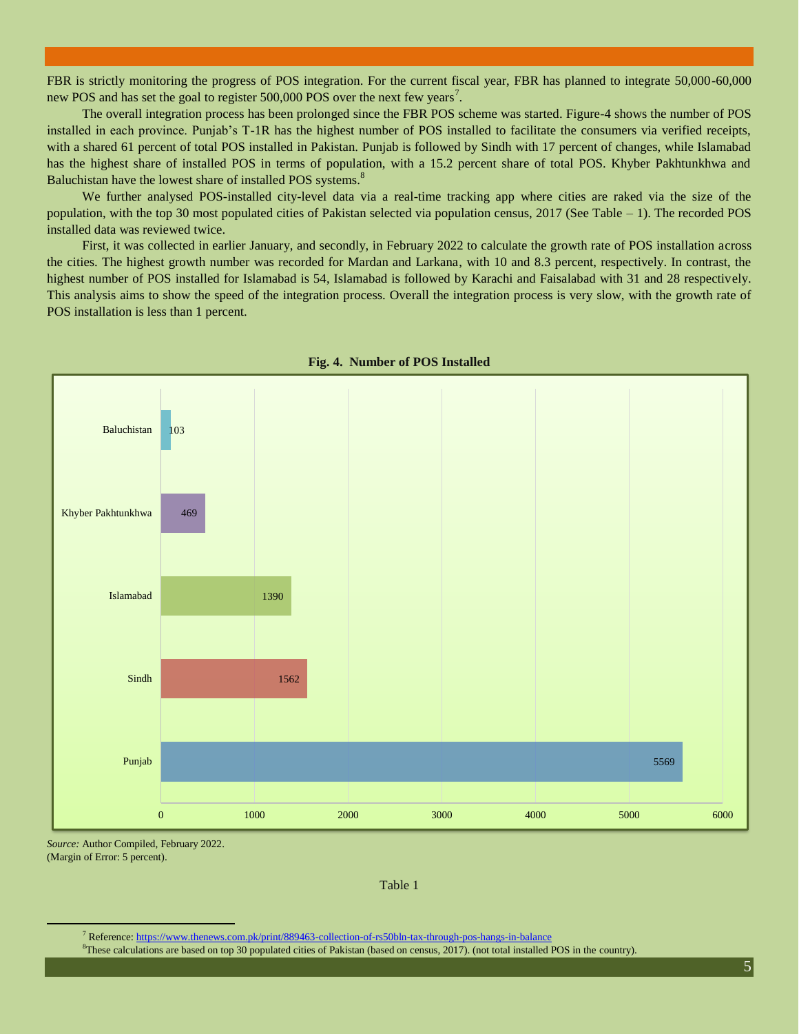FBR is strictly monitoring the progress of POS integration. For the current fiscal year, FBR has planned to integrate 50,000-60,000 new POS and has set the goal to register  $500,000$  POS over the next few years<sup>7</sup>.

The overall integration process has been prolonged since the FBR POS scheme was started. Figure-4 shows the number of POS installed in each province. Punjab's T-1R has the highest number of POS installed to facilitate the consumers via verified receipts, with a shared 61 percent of total POS installed in Pakistan. Punjab is followed by Sindh with 17 percent of changes, while Islamabad has the highest share of installed POS in terms of population, with a 15.2 percent share of total POS. Khyber Pakhtunkhwa and Baluchistan have the lowest share of installed POS systems.<sup>8</sup>

We further analysed POS-installed city-level data via a real-time tracking app where cities are raked via the size of the population, with the top 30 most populated cities of Pakistan selected via population census, 2017 (See Table – 1). The recorded POS installed data was reviewed twice.

First, it was collected in earlier January, and secondly, in February 2022 to calculate the growth rate of POS installation across the cities. The highest growth number was recorded for Mardan and Larkana, with 10 and 8.3 percent, respectively. In contrast, the highest number of POS installed for Islamabad is 54, Islamabad is followed by Karachi and Faisalabad with 31 and 28 respectively. This analysis aims to show the speed of the integration process. Overall the integration process is very slow, with the growth rate of POS installation is less than 1 percent.



#### **Fig. 4. Number of POS Installed**

*Source:* Author Compiled, February 2022. (Margin of Error: 5 percent).

Table 1

<sup>7</sup> Reference[: https://www.thenews.com.pk/print/889463-collection-of-rs50bln-tax-through-pos-hangs-in-balance](https://www.thenews.com.pk/print/889463-collection-of-rs50bln-tax-through-pos-hangs-in-balance)

<sup>8</sup>These calculations are based on top 30 populated cities of Pakistan (based on census, 2017). (not total installed POS in the country).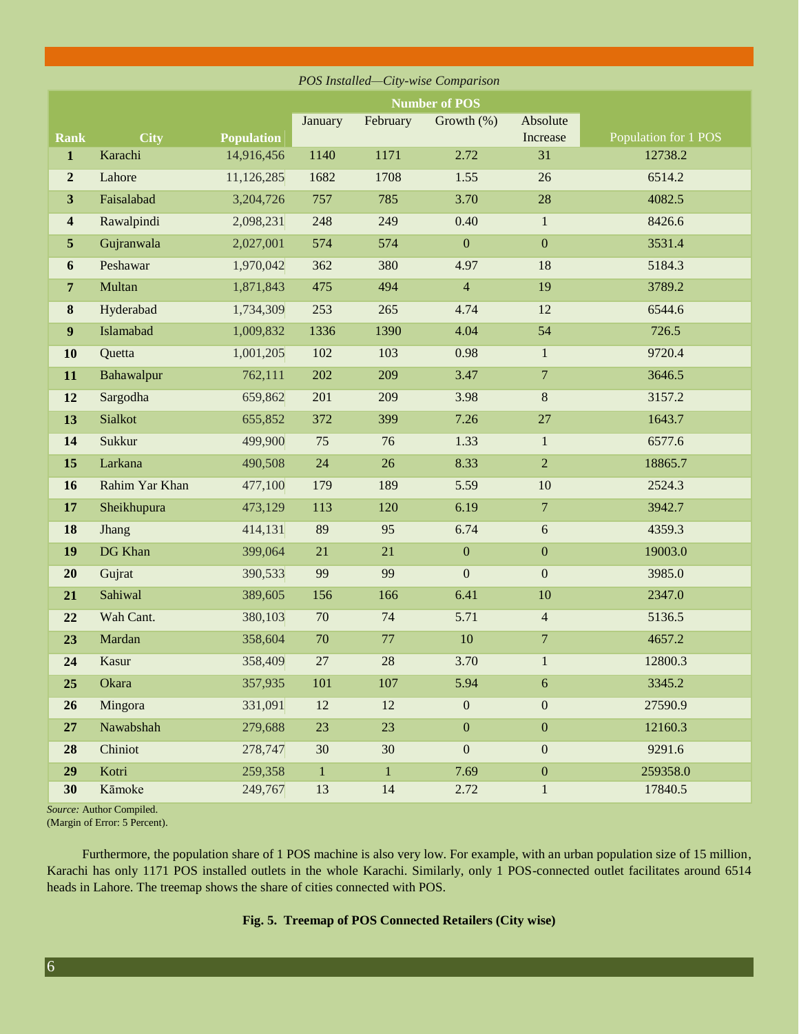| POS Installed-City-wise Comparison |                      |                   |              |          |                  |                  |                      |
|------------------------------------|----------------------|-------------------|--------------|----------|------------------|------------------|----------------------|
|                                    | <b>Number of POS</b> |                   |              |          |                  |                  |                      |
|                                    |                      |                   | January      | February | Growth $(\%)$    | Absolute         |                      |
| <b>Rank</b>                        | <b>City</b>          | <b>Population</b> |              |          |                  | Increase         | Population for 1 POS |
| $\mathbf{1}$                       | Karachi              | 14,916,456        | 1140         | 1171     | 2.72             | 31               | 12738.2              |
| $\boldsymbol{2}$                   | Lahore               | 11,126,285        | 1682         | 1708     | 1.55             | 26               | 6514.2               |
| $\mathbf{3}$                       | Faisalabad           | 3,204,726         | 757          | 785      | 3.70             | 28               | 4082.5               |
| $\overline{\mathbf{4}}$            | Rawalpindi           | 2,098,231         | 248          | 249      | 0.40             | $\mathbf{1}$     | 8426.6               |
| $\sqrt{5}$                         | Gujranwala           | 2,027,001         | 574          | 574      | $\boldsymbol{0}$ | $\boldsymbol{0}$ | 3531.4               |
| $\boldsymbol{6}$                   | Peshawar             | 1,970,042         | 362          | 380      | 4.97             | 18               | 5184.3               |
| $\overline{7}$                     | Multan               | 1,871,843         | 475          | 494      | $\overline{4}$   | 19               | 3789.2               |
| 8                                  | Hyderabad            | 1,734,309         | 253          | 265      | 4.74             | 12               | 6544.6               |
| $\boldsymbol{9}$                   | Islamabad            | 1,009,832         | 1336         | 1390     | 4.04             | 54               | 726.5                |
| 10                                 | Quetta               | 1,001,205         | 102          | 103      | 0.98             | $\mathbf{1}$     | 9720.4               |
| 11                                 | Bahawalpur           | 762,111           | 202          | 209      | 3.47             | $\overline{7}$   | 3646.5               |
| 12                                 | Sargodha             | 659,862           | 201          | 209      | 3.98             | $\,8\,$          | 3157.2               |
| 13                                 | Sialkot              | 655,852           | 372          | 399      | 7.26             | $27\,$           | 1643.7               |
| 14                                 | Sukkur               | 499,900           | 75           | 76       | 1.33             | $\mathbf{1}$     | 6577.6               |
| 15                                 | Larkana              | 490,508           | 24           | 26       | 8.33             | $\overline{2}$   | 18865.7              |
| 16                                 | Rahim Yar Khan       | 477,100           | 179          | 189      | 5.59             | 10               | 2524.3               |
| 17                                 | Sheikhupura          | 473,129           | 113          | 120      | 6.19             | $\overline{7}$   | 3942.7               |
| 18                                 | Jhang                | 414,131           | 89           | 95       | 6.74             | 6                | 4359.3               |
| 19                                 | DG Khan              | 399,064           | 21           | 21       | $\boldsymbol{0}$ | $\boldsymbol{0}$ | 19003.0              |
| 20                                 | Gujrat               | 390,533           | 99           | 99       | $\boldsymbol{0}$ | $\boldsymbol{0}$ | 3985.0               |
| 21                                 | Sahiwal              | 389,605           | 156          | 166      | 6.41             | 10               | 2347.0               |
| 22                                 | Wah Cant.            | 380,103           | 70           | 74       | 5.71             | $\overline{4}$   | 5136.5               |
| 23                                 | Mardan               | 358,604           | 70           | 77       | 10               | $\overline{7}$   | 4657.2               |
| 24                                 | Kasur                | 358,409           | 27           | 28       | 3.70             | $\mathbf{1}$     | 12800.3              |
| 25                                 | Okara                | 357,935           | 101          | 107      | 5.94             | $6\phantom{.}6$  | 3345.2               |
| 26                                 | Mingora              | 331,091           | 12           | 12       | $\boldsymbol{0}$ | $\boldsymbol{0}$ | 27590.9              |
| 27                                 | Nawabshah            | 279,688           | 23           | 23       | $\boldsymbol{0}$ | $\boldsymbol{0}$ | 12160.3              |
| 28                                 | Chiniot              | 278,747           | 30           | 30       | $\mathbf{0}$     | $\boldsymbol{0}$ | 9291.6               |
| 29                                 | Kotri                | 259,358           | $\mathbf{1}$ | $\,1\,$  | 7.69             | $\boldsymbol{0}$ | 259358.0             |
| 30                                 | Kāmoke               | 249,767           | 13           | 14       | 2.72             | $\mathbf{1}$     | 17840.5              |

*Source:* Author Compiled. (Margin of Error: 5 Percent).

Furthermore, the population share of 1 POS machine is also very low. For example, with an urban population size of 15 million, Karachi has only 1171 POS installed outlets in the whole Karachi. Similarly, only 1 POS-connected outlet facilitates around 6514 heads in Lahore. The treemap shows the share of cities connected with POS.

#### **Fig. 5. Treemap of POS Connected Retailers (City wise)**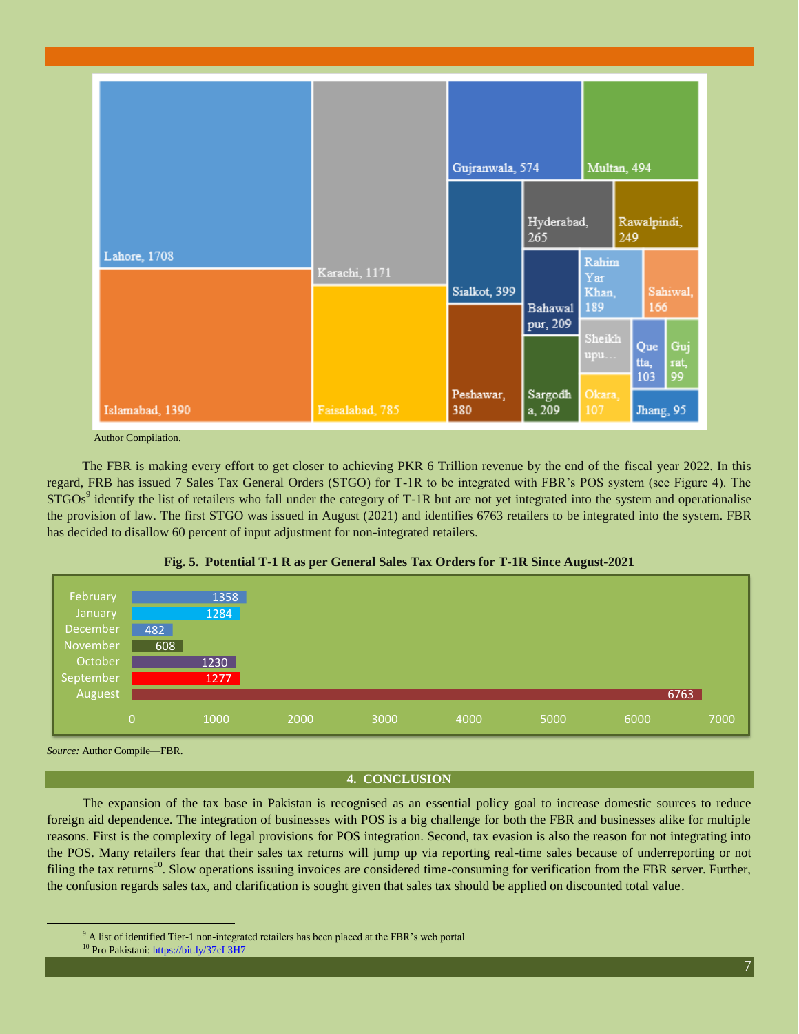

Author Compilation.

The FBR is making every effort to get closer to achieving PKR 6 Trillion revenue by the end of the fiscal year 2022. In this regard, FRB has issued 7 Sales Tax General Orders (STGO) for T-1R to be integrated with FBR's POS system (see Figure 4). The  $STGOs<sup>9</sup>$  identify the list of retailers who fall under the category of T-1R but are not yet integrated into the system and operationalise the provision of law. The first STGO was issued in August (2021) and identifies 6763 retailers to be integrated into the system. FBR has decided to disallow 60 percent of input adjustment for non-integrated retailers.



**Fig. 5. Potential T-1 R as per General Sales Tax Orders for T-1R Since August-2021**

*Source:* Author Compile—FBR.

### **4. CONCLUSION**

The expansion of the tax base in Pakistan is recognised as an essential policy goal to increase domestic sources to reduce foreign aid dependence. The integration of businesses with POS is a big challenge for both the FBR and businesses alike for multiple reasons. First is the complexity of legal provisions for POS integration. Second, tax evasion is also the reason for not integrating into the POS. Many retailers fear that their sales tax returns will jump up via reporting real-time sales because of underreporting or not filing the tax returns<sup>10</sup>. Slow operations issuing invoices are considered time-consuming for verification from the FBR server. Further, the confusion regards sales tax, and clarification is sought given that sales tax should be applied on discounted total value.

 $9<sup>9</sup>$  A list of identified Tier-1 non-integrated retailers has been placed at the FBR's web portal

<sup>&</sup>lt;sup>10</sup> Pro Pakistani[: https://bit.ly/37cL3H7](https://bit.ly/37cL3H7)